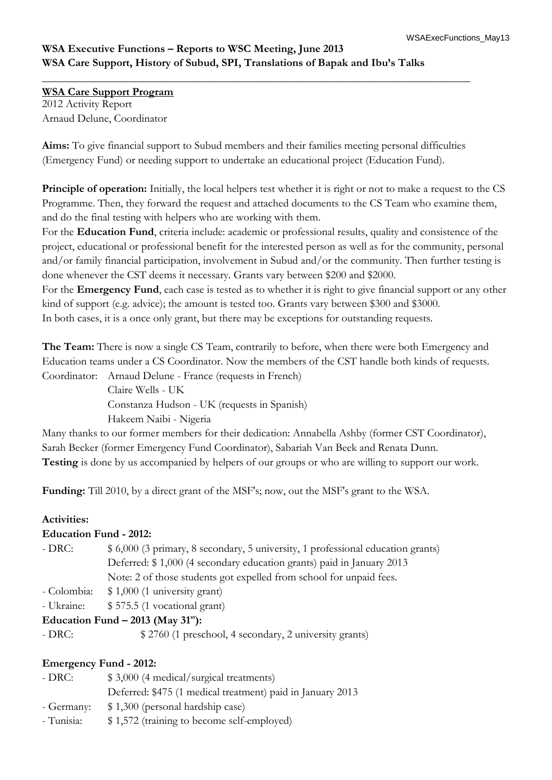# **WSA Executive Functions – Reports to WSC Meeting, June 2013 WSA Care Support, History of Subud, SPI, Translations of Bapak and Ibu's Talks**

**WSA Care Support Program** 2012 Activity Report Arnaud Delune, Coordinator

**Aims:** To give financial support to Subud members and their families meeting personal difficulties (Emergency Fund) or needing support to undertake an educational project (Education Fund).

**\_\_\_\_\_\_\_\_\_\_\_\_\_\_\_\_\_\_\_\_\_\_\_\_\_\_\_\_\_\_\_\_\_\_\_\_\_\_\_\_\_\_\_\_\_\_\_\_\_\_\_\_\_\_\_\_\_\_\_\_\_\_\_\_\_\_\_\_\_\_\_\_\_\_\_\_\_**

**Principle of operation:** Initially, the local helpers test whether it is right or not to make a request to the CS Programme. Then, they forward the request and attached documents to the CS Team who examine them, and do the final testing with helpers who are working with them.

For the **Education Fund**, criteria include: academic or professional results, quality and consistence of the project, educational or professional benefit for the interested person as well as for the community, personal and/or family financial participation, involvement in Subud and/or the community. Then further testing is done whenever the CST deems it necessary. Grants vary between \$200 and \$2000.

For the **Emergency Fund**, each case is tested as to whether it is right to give financial support or any other kind of support (e.g. advice); the amount is tested too. Grants vary between \$300 and \$3000.

In both cases, it is a once only grant, but there may be exceptions for outstanding requests.

**The Team:** There is now a single CS Team, contrarily to before, when there were both Emergency and Education teams under a CS Coordinator. Now the members of the CST handle both kinds of requests.

Coordinator: Arnaud Delune - France (requests in French)

Claire Wells - UK Constanza Hudson - UK (requests in Spanish)

Hakeem Naibi - Nigeria

Many thanks to our former members for their dedication: Annabella Ashby (former CST Coordinator), Sarah Becker (former Emergency Fund Coordinator), Sabariah Van Beek and Renata Dunn. **Testing** is done by us accompanied by helpers of our groups or who are willing to support our work.

**Funding:** Till 2010, by a direct grant of the MSF's; now, out the MSF's grant to the WSA.

## **Activities:**

#### **Education Fund - 2012:**

| - DRC: | \$ 6,000 (3 primary, 8 secondary, 5 university, 1 professional education grants) |
|--------|----------------------------------------------------------------------------------|
|        | Deferred: \$1,000 (4 secondary education grants) paid in January 2013            |
|        | Note: 2 of those students got expelled from school for unpaid fees.              |
|        |                                                                                  |

- Colombia: \$ 1,000 (1 university grant)
- Ukraine: \$ 575.5 (1 vocational grant)

## **Education Fund – 2013 (May 31st):**

- DRC:  $$ 2760 (1 preschool, 4 secondary, 2 university grants)$ 

## **Emergency Fund - 2012:**

| - DRC:     | \$3,000 (4 medical/surgical treatments)                    |
|------------|------------------------------------------------------------|
|            | Deferred: \$475 (1 medical treatment) paid in January 2013 |
| - Germany: | \$1,300 (personal hardship case)                           |
| - Tunisia: | \$1,572 (training to become self-employed)                 |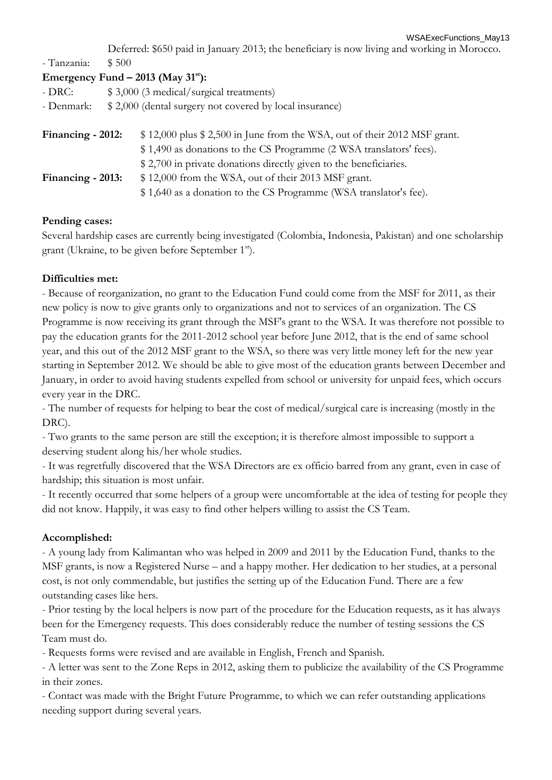Deferred: \$650 paid in January 2013; the beneficiary is now living and working in Morocco.

- Tanzania: \$ 500

| Emergency Fund $-$ 2013 (May 31 <sup>st</sup> ): |  |  |  |  |
|--------------------------------------------------|--|--|--|--|
|--------------------------------------------------|--|--|--|--|

| - DRC: | \$3,000 (3 medical/surgical treatments)                            |
|--------|--------------------------------------------------------------------|
|        | - Denmark: \$2,000 (dental surgery not covered by local insurance) |

| Financing - 2012: | \$12,000 plus \$2,500 in June from the WSA, out of their 2012 MSF grant. |
|-------------------|--------------------------------------------------------------------------|
|                   | \$1,490 as donations to the CS Programme (2 WSA translators' fees).      |
|                   | \$2,700 in private donations directly given to the beneficiaries.        |
| Financing - 2013: | \$12,000 from the WSA, out of their 2013 MSF grant.                      |
|                   | \$1,640 as a donation to the CS Programme (WSA translator's fee).        |

## **Pending cases:**

Several hardship cases are currently being investigated (Colombia, Indonesia, Pakistan) and one scholarship grant (Ukraine, to be given before September 1<sup>st</sup>).

## **Difficulties met:**

- Because of reorganization, no grant to the Education Fund could come from the MSF for 2011, as their new policy is now to give grants only to organizations and not to services of an organization. The CS Programme is now receiving its grant through the MSF's grant to the WSA. It was therefore not possible to pay the education grants for the 2011-2012 school year before June 2012, that is the end of same school year, and this out of the 2012 MSF grant to the WSA, so there was very little money left for the new year starting in September 2012. We should be able to give most of the education grants between December and January, in order to avoid having students expelled from school or university for unpaid fees, which occurs every year in the DRC.

- The number of requests for helping to bear the cost of medical/surgical care is increasing (mostly in the DRC).

- Two grants to the same person are still the exception; it is therefore almost impossible to support a deserving student along his/her whole studies.

- It was regretfully discovered that the WSA Directors are ex officio barred from any grant, even in case of hardship; this situation is most unfair.

- It recently occurred that some helpers of a group were uncomfortable at the idea of testing for people they did not know. Happily, it was easy to find other helpers willing to assist the CS Team.

## **Accomplished:**

- A young lady from Kalimantan who was helped in 2009 and 2011 by the Education Fund, thanks to the MSF grants, is now a Registered Nurse – and a happy mother. Her dedication to her studies, at a personal cost, is not only commendable, but justifies the setting up of the Education Fund. There are a few outstanding cases like hers.

- Prior testing by the local helpers is now part of the procedure for the Education requests, as it has always been for the Emergency requests. This does considerably reduce the number of testing sessions the CS Team must do.

- Requests forms were revised and are available in English, French and Spanish.

- A letter was sent to the Zone Reps in 2012, asking them to publicize the availability of the CS Programme in their zones.

- Contact was made with the Bright Future Programme, to which we can refer outstanding applications needing support during several years.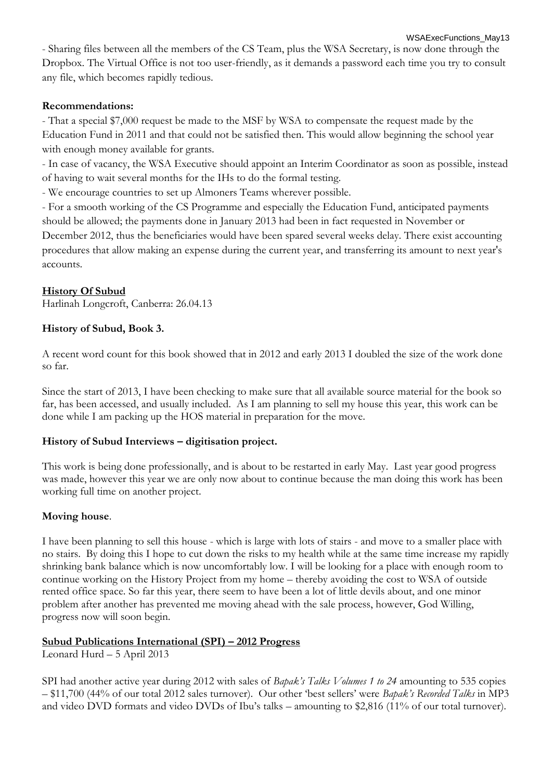WSAExecFunctions\_May13 - Sharing files between all the members of the CS Team, plus the WSA Secretary, is now done through the Dropbox. The Virtual Office is not too user-friendly, as it demands a password each time you try to consult any file, which becomes rapidly tedious.

### **Recommendations:**

- That a special \$7,000 request be made to the MSF by WSA to compensate the request made by the Education Fund in 2011 and that could not be satisfied then. This would allow beginning the school year with enough money available for grants.

- In case of vacancy, the WSA Executive should appoint an Interim Coordinator as soon as possible, instead of having to wait several months for the IHs to do the formal testing.

- We encourage countries to set up Almoners Teams wherever possible.

- For a smooth working of the CS Programme and especially the Education Fund, anticipated payments should be allowed; the payments done in January 2013 had been in fact requested in November or December 2012, thus the beneficiaries would have been spared several weeks delay. There exist accounting procedures that allow making an expense during the current year, and transferring its amount to next year's accounts.

## **History Of Subud**

Harlinah Longcroft, Canberra: 26.04.13

## **History of Subud, Book 3.**

A recent word count for this book showed that in 2012 and early 2013 I doubled the size of the work done so far.

Since the start of 2013, I have been checking to make sure that all available source material for the book so far, has been accessed, and usually included. As I am planning to sell my house this year, this work can be done while I am packing up the HOS material in preparation for the move.

#### **History of Subud Interviews – digitisation project.**

This work is being done professionally, and is about to be restarted in early May. Last year good progress was made, however this year we are only now about to continue because the man doing this work has been working full time on another project.

#### **Moving house**.

I have been planning to sell this house - which is large with lots of stairs - and move to a smaller place with no stairs. By doing this I hope to cut down the risks to my health while at the same time increase my rapidly shrinking bank balance which is now uncomfortably low. I will be looking for a place with enough room to continue working on the History Project from my home – thereby avoiding the cost to WSA of outside rented office space. So far this year, there seem to have been a lot of little devils about, and one minor problem after another has prevented me moving ahead with the sale process, however, God Willing, progress now will soon begin.

#### **Subud Publications International (SPI) – 2012 Progress**

Leonard Hurd – 5 April 2013

SPI had another active year during 2012 with sales of *Bapak's Talks Volumes 1 to 24* amounting to 535 copies – \$11,700 (44% of our total 2012 sales turnover). Our other 'best sellers' were *Bapak's Recorded Talks* in MP3 and video DVD formats and video DVDs of Ibu's talks – amounting to \$2,816 (11% of our total turnover).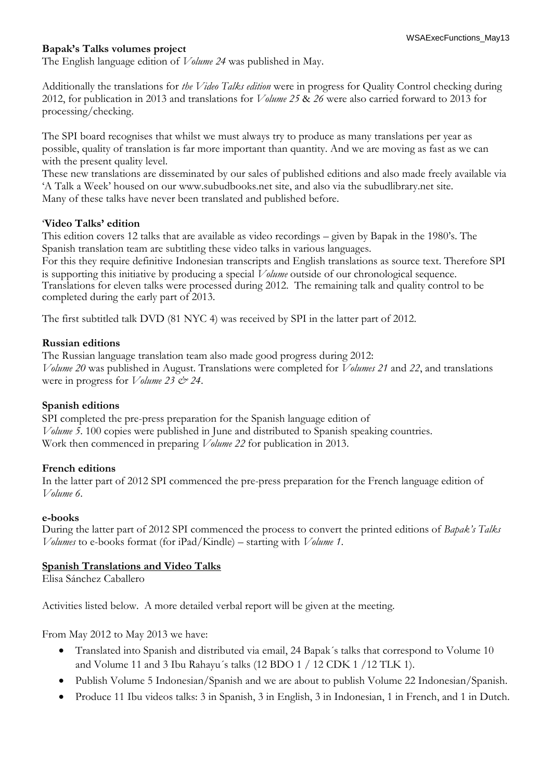#### **Bapak's Talks volumes project**

The English language edition of *Volume 24* was published in May.

Additionally the translations for *the Video Talks edition* were in progress for Quality Control checking during 2012, for publication in 2013 and translations for *Volume 25* & *26* were also carried forward to 2013 for processing/checking.

The SPI board recognises that whilst we must always try to produce as many translations per year as possible, quality of translation is far more important than quantity. And we are moving as fast as we can with the present quality level.

These new translations are disseminated by our sales of published editions and also made freely available via 'A Talk a Week' housed on our www.subudbooks.net site, and also via the subudlibrary.net site. Many of these talks have never been translated and published before.

#### '**Video Talks' edition**

This edition covers 12 talks that are available as video recordings – given by Bapak in the 1980's. The Spanish translation team are subtitling these video talks in various languages.

For this they require definitive Indonesian transcripts and English translations as source text. Therefore SPI is supporting this initiative by producing a special *Volume* outside of our chronological sequence. Translations for eleven talks were processed during 2012. The remaining talk and quality control to be completed during the early part of 2013.

The first subtitled talk DVD (81 NYC 4) was received by SPI in the latter part of 2012.

#### **Russian editions**

The Russian language translation team also made good progress during 2012: *Volume 20* was published in August. Translations were completed for *Volumes 21* and *22*, and translations were in progress for *Volume 23*  $\acute{\c{c}}$  24.

#### **Spanish editions**

SPI completed the pre-press preparation for the Spanish language edition of *Volume 5*. 100 copies were published in June and distributed to Spanish speaking countries. Work then commenced in preparing *Volume 22* for publication in 2013.

#### **French editions**

In the latter part of 2012 SPI commenced the pre-press preparation for the French language edition of *Volume 6*.

#### **e-books**

During the latter part of 2012 SPI commenced the process to convert the printed editions of *Bapak's Talks Volumes* to e-books format (for iPad/Kindle) – starting with *Volume 1*.

#### **Spanish Translations and Video Talks**

Elisa Sánchez Caballero

Activities listed below. A more detailed verbal report will be given at the meeting.

From May 2012 to May 2013 we have:

- Translated into Spanish and distributed via email, 24 Bapak´s talks that correspond to Volume 10 and Volume 11 and 3 Ibu Rahayu´s talks (12 BDO 1 / 12 CDK 1 /12 TLK 1).
- Publish Volume 5 Indonesian/Spanish and we are about to publish Volume 22 Indonesian/Spanish.
- Produce 11 Ibu videos talks: 3 in Spanish, 3 in English, 3 in Indonesian, 1 in French, and 1 in Dutch.